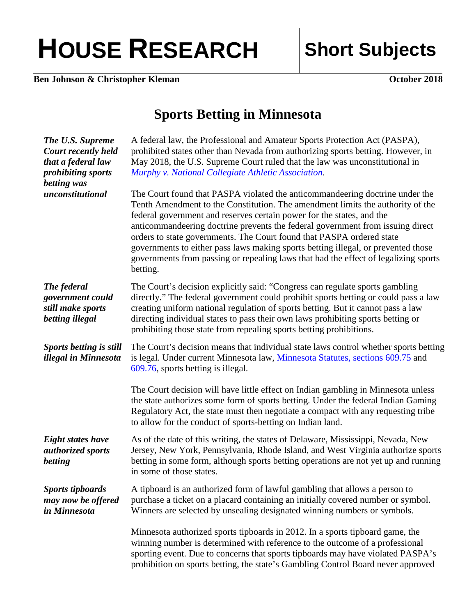## HOUSE RESEARCH Short Subjects

**Ben Johnson & Christopher Kleman October 2018** 

## **Sports Betting in Minnesota**

| <b>The U.S. Supreme</b><br>Court recently held<br>that a federal law<br>prohibiting sports<br>betting was | A federal law, the Professional and Amateur Sports Protection Act (PASPA),<br>prohibited states other than Nevada from authorizing sports betting. However, in<br>May 2018, the U.S. Supreme Court ruled that the law was unconstitutional in<br>Murphy v. National Collegiate Athletic Association.                                                                                                                                                                                                                                                                                       |
|-----------------------------------------------------------------------------------------------------------|--------------------------------------------------------------------------------------------------------------------------------------------------------------------------------------------------------------------------------------------------------------------------------------------------------------------------------------------------------------------------------------------------------------------------------------------------------------------------------------------------------------------------------------------------------------------------------------------|
| unconstitutional                                                                                          | The Court found that PASPA violated the anticommandeering doctrine under the<br>Tenth Amendment to the Constitution. The amendment limits the authority of the<br>federal government and reserves certain power for the states, and the<br>anticommandeering doctrine prevents the federal government from issuing direct<br>orders to state governments. The Court found that PASPA ordered state<br>governments to either pass laws making sports betting illegal, or prevented those<br>governments from passing or repealing laws that had the effect of legalizing sports<br>betting. |
| The federal<br>government could<br>still make sports<br>betting illegal                                   | The Court's decision explicitly said: "Congress can regulate sports gambling<br>directly." The federal government could prohibit sports betting or could pass a law<br>creating uniform national regulation of sports betting. But it cannot pass a law<br>directing individual states to pass their own laws prohibiting sports betting or<br>prohibiting those state from repealing sports betting prohibitions.                                                                                                                                                                         |
| <b>Sports betting is still</b><br>illegal in Minnesota                                                    | The Court's decision means that individual state laws control whether sports betting<br>is legal. Under current Minnesota law, Minnesota Statutes, sections 609.75 and<br>609.76, sports betting is illegal.                                                                                                                                                                                                                                                                                                                                                                               |
|                                                                                                           | The Court decision will have little effect on Indian gambling in Minnesota unless<br>the state authorizes some form of sports betting. Under the federal Indian Gaming<br>Regulatory Act, the state must then negotiate a compact with any requesting tribe<br>to allow for the conduct of sports-betting on Indian land.                                                                                                                                                                                                                                                                  |
| <b>Eight states have</b><br>authorized sports<br>betting                                                  | As of the date of this writing, the states of Delaware, Mississippi, Nevada, New<br>Jersey, New York, Pennsylvania, Rhode Island, and West Virginia authorize sports<br>betting in some form, although sports betting operations are not yet up and running<br>in some of those states.                                                                                                                                                                                                                                                                                                    |
| <b>Sports tipboards</b><br>may now be offered<br>in Minnesota                                             | A tipboard is an authorized form of lawful gambling that allows a person to<br>purchase a ticket on a placard containing an initially covered number or symbol.<br>Winners are selected by unsealing designated winning numbers or symbols.                                                                                                                                                                                                                                                                                                                                                |
|                                                                                                           | Minnesota authorized sports tipboards in 2012. In a sports tipboard game, the<br>winning number is determined with reference to the outcome of a professional<br>sporting event. Due to concerns that sports tipboards may have violated PASPA's<br>prohibition on sports betting, the state's Gambling Control Board never approved                                                                                                                                                                                                                                                       |